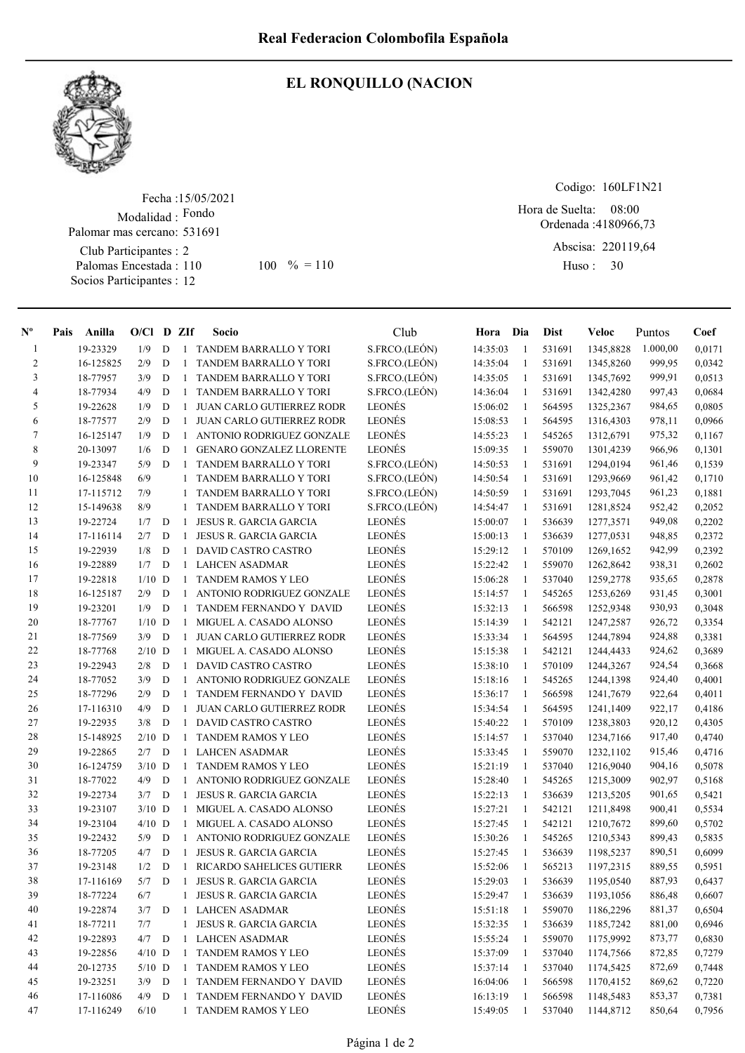

## EL RONQUILLO (NACION

Fecha : 15/05/2021 Modalidad : Fondo Club Participantes : 2 Palomas Encestada : Socios Participantes : 12 Palomar mas cercano: 531691 110 100 % = 110 Huso: 30

Codigo: 160LF1N21

Ordenada : 4180966,73 Abscisa: 220119,64 Hora de Suelta: 08:00

Huso: 30

| $\mathbf{N}^{\mathbf{o}}$ | Pais | Anilla    | $O/CI$ D ZIf |             |              | Socio                            | Club          | Hora Dia |              | Dist   | Veloc            | Puntos   | Coef   |
|---------------------------|------|-----------|--------------|-------------|--------------|----------------------------------|---------------|----------|--------------|--------|------------------|----------|--------|
| -1                        |      | 19-23329  | 1/9          | D           | -1           | TANDEM BARRALLO Y TORI           | S.FRCO.(LEÓN) | 14:35:03 | -1           | 531691 | 1345,8828        | 1.000,00 | 0,0171 |
| 2                         |      | 16-125825 | 2/9          | D           | -1           | TANDEM BARRALLO Y TORI           | S.FRCO.(LEÓN) | 14:35:04 | -1           | 531691 | 1345,8260        | 999,95   | 0,0342 |
| 3                         |      | 18-77957  | 3/9          | D           | 1            | TANDEM BARRALLO Y TORI           | S.FRCO.(LEÓN) | 14:35:05 | $\mathbf{1}$ | 531691 | 1345,7692        | 999,91   | 0,0513 |
| 4                         |      | 18-77934  | 4/9          | D           | $\mathbf{1}$ | TANDEM BARRALLO Y TORI           | S.FRCO.(LEÓN) | 14:36:04 | -1           | 531691 | 1342,4280        | 997,43   | 0,0684 |
| 5                         |      | 19-22628  | 1/9          | D           | $\mathbf{1}$ | <b>JUAN CARLO GUTIERREZ RODR</b> | LEONÉS        | 15:06:02 | -1           | 564595 | 1325,2367        | 984,65   | 0,0805 |
| 6                         |      | 18-77577  | 2/9          | D           | $\mathbf{1}$ | <b>JUAN CARLO GUTIERREZ RODR</b> | <b>LEONÉS</b> | 15:08:53 | -1           | 564595 | 1316,4303        | 978,11   | 0,0966 |
| 7                         |      | 16-125147 | 1/9          | D           | $\mathbf{1}$ | ANTONIO RODRIGUEZ GONZALE        | <b>LEONÉS</b> | 14:55:23 | 1            | 545265 | 1312,6791        | 975,32   | 0,1167 |
| 8                         |      | 20-13097  | 1/6          | D           | 1            | <b>GENARO GONZALEZ LLORENTE</b>  | LEONÉS        | 15:09:35 | -1           | 559070 | 1301,4239        | 966,96   | 0,1301 |
| 9                         |      | 19-23347  | 5/9          | D           | 1            | <b>TANDEM BARRALLO Y TORI</b>    | S.FRCO.(LEÓN) | 14:50:53 | -1           | 531691 | 1294,0194        | 961,46   | 0,1539 |
| 10                        |      | 16-125848 | 6/9          |             | $\mathbf{1}$ | TANDEM BARRALLO Y TORI           | S.FRCO.(LEÓN) | 14:50:54 | -1           | 531691 | 1293,9669        | 961,42   | 0,1710 |
| 11                        |      | 17-115712 | 7/9          |             |              | TANDEM BARRALLO Y TORI           | S.FRCO.(LEÓN) | 14:50:59 | -1           | 531691 | 1293,7045        | 961,23   | 0,1881 |
| 12                        |      | 15-149638 | 8/9          |             | $\mathbf{1}$ | TANDEM BARRALLO Y TORI           | S.FRCO.(LEÓN) | 14:54:47 | -1           | 531691 | 1281,8524        | 952,42   | 0,2052 |
| 13                        |      | 19-22724  | 1/7          | D           | -1           | JESUS R. GARCIA GARCIA           | <b>LEONÉS</b> | 15:00:07 | -1           | 536639 | 1277,3571        | 949,08   | 0,2202 |
| 14                        |      | 17-116114 | 2/7          | D           | $\mathbf{1}$ | JESUS R. GARCIA GARCIA           | <b>LEONÉS</b> | 15:00:13 | -1           | 536639 | 1277,0531        | 948,85   | 0,2372 |
| 15                        |      | 19-22939  | 1/8          | D           | $\mathbf{1}$ | DAVID CASTRO CASTRO              | <b>LEONÉS</b> | 15:29:12 | -1           | 570109 | 1269,1652        | 942,99   | 0,2392 |
| 16                        |      | 19-22889  | 1/7          | D           | $\mathbf{1}$ | <b>LAHCEN ASADMAR</b>            | LEONÉS        | 15:22:42 | -1           | 559070 | 1262,8642        | 938,31   | 0,2602 |
| 17                        |      | 19-22818  | $1/10$ D     |             | $\mathbf{1}$ | <b>TANDEM RAMOS Y LEO</b>        | LEONÉS        | 15:06:28 | -1           | 537040 | 1259,2778        | 935,65   | 0,2878 |
| 18                        |      | 16-125187 | 2/9          | D           | $\mathbf{1}$ | ANTONIO RODRIGUEZ GONZALE        | LEONÉS        | 15:14:57 | -1           | 545265 | 1253,6269        | 931,45   | 0,3001 |
| 19                        |      | 19-23201  | 1/9          | D           | -1           | TANDEM FERNANDO Y DAVID          | LEONÉS        | 15:32:13 | -1           | 566598 | 1252,9348        | 930,93   | 0,3048 |
| 20                        |      | 18-77767  | $1/10$ D     |             | 1            | MIGUEL A. CASADO ALONSO          | LEONÉS        | 15:14:39 | -1           | 542121 | 1247,2587        | 926,72   | 0,3354 |
| 21                        |      | 18-77569  | 3/9          | D           | $\mathbf{1}$ | <b>JUAN CARLO GUTIERREZ RODR</b> | <b>LEONÉS</b> | 15:33:34 | -1           | 564595 | 1244,7894        | 924,88   | 0,3381 |
| 22                        |      | 18-77768  | $2/10$ D     |             | $\mathbf{1}$ | MIGUEL A. CASADO ALONSO          | <b>LEONÉS</b> | 15:15:38 | -1           | 542121 | 1244,4433        | 924,62   | 0,3689 |
| 23                        |      | 19-22943  | 2/8          | D           | $\mathbf{1}$ | DAVID CASTRO CASTRO              | <b>LEONÉS</b> | 15:38:10 | -1           | 570109 | 1244,3267        | 924,54   | 0,3668 |
| 24                        |      | 18-77052  | 3/9          | D           | $\mathbf{1}$ | <b>ANTONIO RODRIGUEZ GONZALE</b> | <b>LEONÉS</b> | 15:18:16 | -1           | 545265 | 1244,1398        | 924,40   | 0,4001 |
| 25                        |      | 18-77296  | 2/9          | D           | 1            | TANDEM FERNANDO Y DAVID          | <b>LEONÉS</b> | 15:36:17 | -1           | 566598 | 1241,7679        | 922,64   | 0,4011 |
| 26                        |      | 17-116310 | 4/9          | D           | -1           | <b>JUAN CARLO GUTIERREZ RODR</b> | <b>LEONÉS</b> | 15:34:54 | -1           | 564595 | 1241,1409        | 922,17   | 0,4186 |
| 27                        |      | 19-22935  | 3/8          | D           | $\mathbf{1}$ | DAVID CASTRO CASTRO              | <b>LEONÉS</b> | 15:40:22 | -1           | 570109 | 1238,3803        | 920,12   | 0,4305 |
| 28                        |      | 15-148925 | $2/10$ D     |             | $\mathbf{1}$ | <b>TANDEM RAMOS Y LEO</b>        | <b>LEONÉS</b> | 15:14:57 | $\mathbf{1}$ | 537040 | 1234,7166        | 917,40   | 0,4740 |
| 29                        |      | 19-22865  | 2/7          | D           | $\mathbf{1}$ | <b>LAHCEN ASADMAR</b>            | <b>LEONÉS</b> | 15:33:45 | 1            | 559070 | 1232,1102        | 915,46   | 0,4716 |
| 30                        |      | 16-124759 | $3/10$ D     |             | 1            | <b>TANDEM RAMOS Y LEO</b>        | <b>LEONÉS</b> | 15:21:19 | -1           | 537040 | 1216,9040        | 904,16   | 0,5078 |
| 31                        |      | 18-77022  | 4/9          | D           | 1            | ANTONIO RODRIGUEZ GONZALE        | <b>LEONÉS</b> | 15:28:40 | 1            | 545265 | 1215,3009        | 902,97   | 0,5168 |
| 32                        |      | 19-22734  | 3/7          | ${\bf D}$   | 1            | <b>JESUS R. GARCIA GARCIA</b>    | <b>LEONÉS</b> | 15:22:13 | -1           | 536639 | 1213,5205        | 901,65   | 0,5421 |
| 33                        |      | 19-23107  | $3/10$ D     |             | 1            | MIGUEL A. CASADO ALONSO          | <b>LEONÉS</b> | 15:27:21 | -1           | 542121 | 1211,8498        | 900,41   | 0,5534 |
| 34                        |      | 19-23104  | $4/10$ D     |             | $\mathbf{1}$ | MIGUEL A. CASADO ALONSO          | <b>LEONÉS</b> | 15:27:45 | -1           | 542121 | 1210,7672        | 899,60   | 0,5702 |
| 35                        |      | 19-22432  | 5/9          | D           | $\mathbf{1}$ | ANTONIO RODRIGUEZ GONZALE        | <b>LEONÉS</b> | 15:30:26 | -1           | 545265 | 1210,5343        | 899,43   | 0,5835 |
| 36                        |      | 18-77205  | 4/7          | D           | $\mathbf{1}$ | <b>JESUS R. GARCIA GARCIA</b>    | LEONÉS        | 15:27:45 | -1           | 536639 | 1198,5237        | 890,51   | 0,6099 |
| 37                        |      | 19-23148  | 1/2          | D           | -1           | RICARDO SAHELICES GUTIERR        | <b>LEONÉS</b> | 15:52:06 | $\mathbf{1}$ | 565213 | 1197,2315        | 889,55   | 0,5951 |
| $3\,$                     |      | 17-116169 | 5/7          | ${\bf D}$   | $\mathbf{1}$ | JESUS R. GARCIA GARCIA           | LEONÉS        | 15:29:03 | $\mathbf{1}$ |        | 536639 1195,0540 | 887,93   | 0,6437 |
| 39                        |      | 18-77224  | $6/7$        |             | $\mathbf{1}$ | JESUS R. GARCIA GARCIA           | <b>LEONÉS</b> | 15:29:47 | -1           | 536639 | 1193,1056        | 886,48   | 0,6607 |
| 40                        |      | 19-22874  | 3/7          | D           | $\mathbf{1}$ | <b>LAHCEN ASADMAR</b>            | LEONÉS        | 15:51:18 | -1           | 559070 | 1186,2296        | 881,37   | 0,6504 |
| 41                        |      | 18-77211  | 7/7          |             | $\mathbf{1}$ | JESUS R. GARCIA GARCIA           | LEONÉS        | 15:32:35 | 1            | 536639 | 1185,7242        | 881,00   | 0,6946 |
| 42                        |      | 19-22893  | 4/7          | $\mathbf D$ | 1            | LAHCEN ASADMAR                   | LEONÉS        | 15:55:24 | 1            | 559070 | 1175,9992        | 873,77   | 0,6830 |
| 43                        |      | 19-22856  | $4/10$ D     |             | 1            | <b>TANDEM RAMOS Y LEO</b>        | LEONÉS        | 15:37:09 | $\mathbf{1}$ | 537040 | 1174,7566        | 872,85   | 0,7279 |
| 44                        |      | 20-12735  | $5/10$ D     |             | 1            | TANDEM RAMOS Y LEO               | LEONÉS        | 15:37:14 | -1           | 537040 | 1174,5425        | 872,69   | 0,7448 |
| 45                        |      | 19-23251  | $3/9$ D      |             | 1            | TANDEM FERNANDO Y DAVID          | LEONÉS        | 16:04:06 | -1           | 566598 | 1170,4152        | 869,62   | 0,7220 |
| 46                        |      | 17-116086 | $4/9$ D      |             | 1            | TANDEM FERNANDO Y DAVID          | LEONÉS        | 16:13:19 | 1            | 566598 | 1148,5483        | 853,37   | 0,7381 |
| 47                        |      | 17-116249 | 6/10         |             |              | 1 TANDEM RAMOS Y LEO             | LEONÉS        | 15:49:05 | -1           | 537040 | 1144,8712        | 850,64   | 0,7956 |
|                           |      |           |              |             |              |                                  |               |          |              |        |                  |          |        |